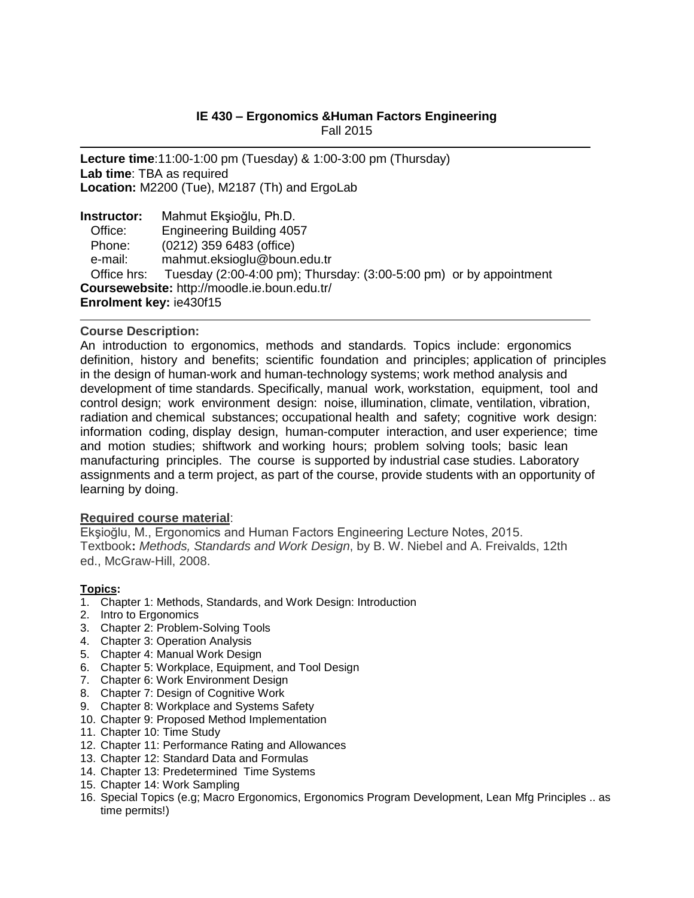# **IE 430 – Ergonomics &Human Factors Engineering** Fall 2015

**Lecture time**:11:00-1:00 pm (Tuesday) & 1:00-3:00 pm (Thursday) **Lab time**: TBA as required **Location:** M2200 (Tue), M2187 (Th) and ErgoLab

**Instructor:** Mahmut Ekşioğlu, Ph.D. Office: Engineering Building 4057 Phone: (0212) 359 6483 (office) e-mail: [mahmut.eksioglu@boun.edu.tr](mailto:mahmut.eksioglu@boun.edu.tr) Office hrs: Tuesday (2:00-4:00 pm); Thursday: (3:00-5:00 pm) or by appointment **Coursewebsite:** http://moodle.ie.boun.edu.tr/ **Enrolment key:** ie430f15

#### **Course Description:**

An introduction to ergonomics, methods and standards. Topics include: ergonomics definition, history and benefits; scientific foundation and principles; application of principles in the design of human-work and human-technology systems; work method analysis and development of time standards. Specifically, manual work, workstation, equipment, tool and control design; work environment design: noise, illumination, climate, ventilation, vibration, radiation and chemical substances; occupational health and safety; cognitive work design: information coding, display design, human-computer interaction, and user experience; time and motion studies; shiftwork and working hours; problem solving tools; basic lean manufacturing principles. The course is supported by industrial case studies. Laboratory assignments and a term project, as part of the course, provide students with an opportunity of learning by doing.

## **Required course material**:

Ekşioğlu, M., Ergonomics and Human Factors Engineering Lecture Notes, 2015. Textbook**:** *Methods, Standards and Work Design*, by B. W. Niebel and A. Freivalds, 12th ed., McGraw-Hill, 2008.

#### **Topics:**

- 1. Chapter 1: Methods, Standards, and Work Design: Introduction
- 2. Intro to Ergonomics
- 3. Chapter 2: Problem-Solving Tools
- 4. Chapter 3: Operation Analysis
- 5. Chapter 4: Manual Work Design
- 6. Chapter 5: Workplace, Equipment, and Tool Design
- 7. Chapter 6: Work Environment Design
- 8. Chapter 7: Design of Cognitive Work
- 9. Chapter 8: Workplace and Systems Safety
- 10. Chapter 9: Proposed Method Implementation
- 11. Chapter 10: Time Study
- 12. Chapter 11: Performance Rating and Allowances
- 13. Chapter 12: Standard Data and Formulas
- 14. Chapter 13: Predetermined Time Systems
- 15. Chapter 14: Work Sampling
- 16. Special Topics (e.g; Macro Ergonomics, Ergonomics Program Development, Lean Mfg Principles .. as time permits!)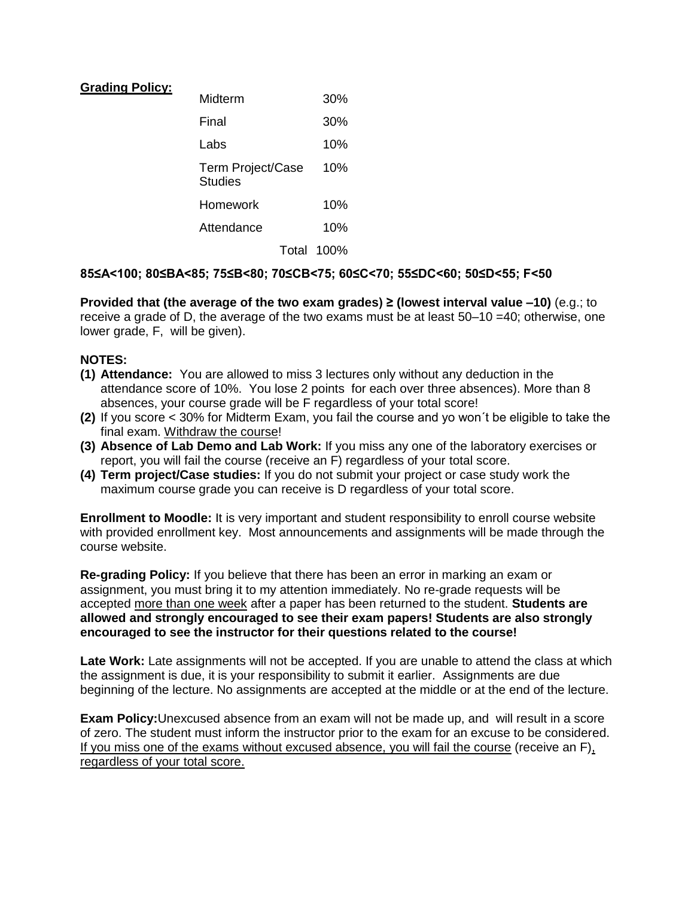### **Grading Policy:**

| Midterm                             | 30%        |
|-------------------------------------|------------|
| Final                               | 30%        |
| I abs                               | 10%        |
| <b>Term Project/Case</b><br>Studies | 10%        |
| Homework                            | 10%        |
| Attendance                          | 10%        |
|                                     | Total 100% |

### **85≤A<100; 80≤BA<85; 75≤B<80; 70≤CB<75; 60≤C<70; 55≤DC<60; 50≤D<55; F<50**

**Provided that (the average of the two exam grades) ≥ (lowest interval value –10)** (e.g.; to receive a grade of D, the average of the two exams must be at least 50–10 =40; otherwise, one lower grade, F, will be given).

### **NOTES:**

- **(1) Attendance:** You are allowed to miss 3 lectures only without any deduction in the attendance score of 10%. You lose 2 points for each over three absences). More than 8 absences, your course grade will be F regardless of your total score!
- **(2)** If you score < 30% for Midterm Exam, you fail the course and yo won´t be eligible to take the final exam. Withdraw the course!
- **(3) Absence of Lab Demo and Lab Work:** If you miss any one of the laboratory exercises or report, you will fail the course (receive an F) regardless of your total score.
- **(4) Term project/Case studies:** If you do not submit your project or case study work the maximum course grade you can receive is D regardless of your total score.

**Enrollment to Moodle:** It is very important and student responsibility to enroll course website with provided enrollment key. Most announcements and assignments will be made through the course website.

**Re-grading Policy:** If you believe that there has been an error in marking an exam or assignment, you must bring it to my attention immediately. No re-grade requests will be accepted more than one week after a paper has been returned to the student. **Students are allowed and strongly encouraged to see their exam papers! Students are also strongly encouraged to see the instructor for their questions related to the course!**

**Late Work:** Late assignments will not be accepted. If you are unable to attend the class at which the assignment is due, it is your responsibility to submit it earlier. Assignments are due beginning of the lecture. No assignments are accepted at the middle or at the end of the lecture.

**Exam Policy:**Unexcused absence from an exam will not be made up, and will result in a score of zero. The student must inform the instructor prior to the exam for an excuse to be considered. If you miss one of the exams without excused absence, you will fail the course (receive an F), regardless of your total score.